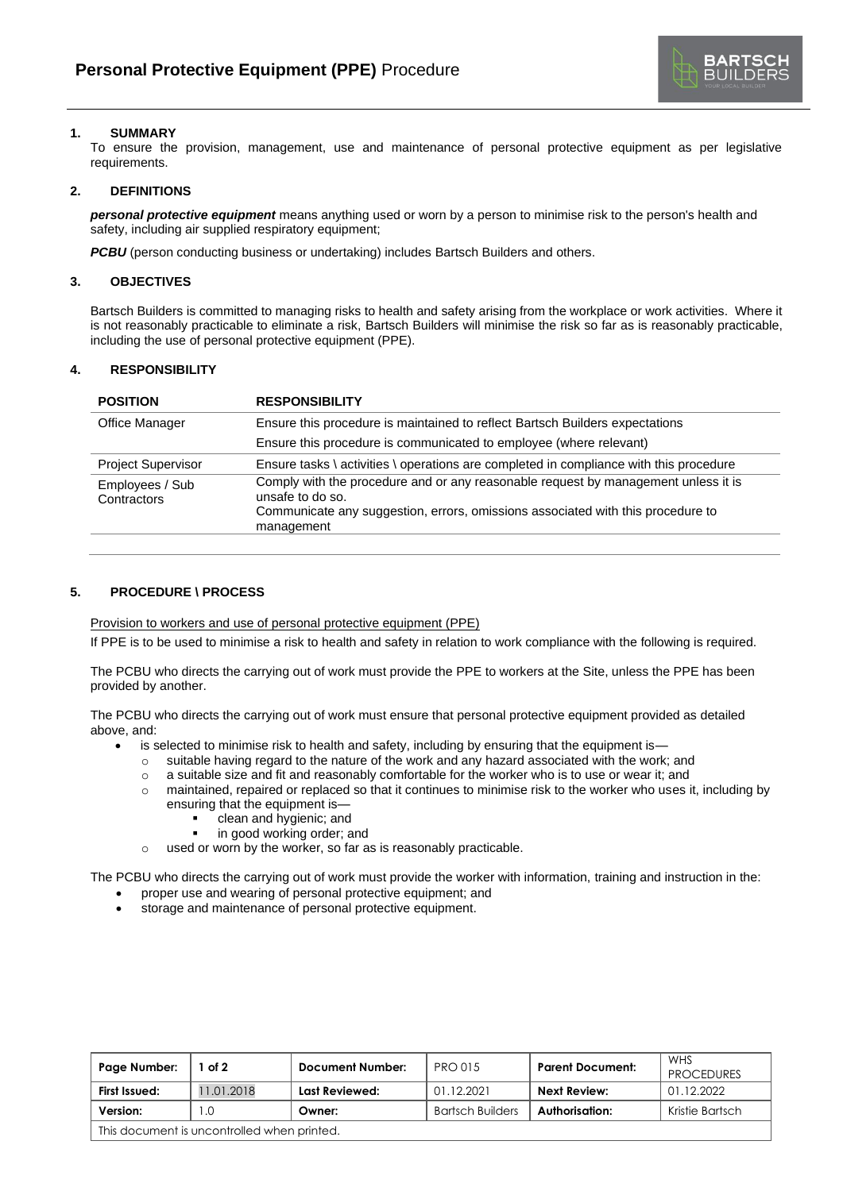

# **1. SUMMARY**

To ensure the provision, management, use and maintenance of personal protective equipment as per legislative requirements.

## **2. DEFINITIONS**

*personal protective equipment* means anything used or worn by a person to minimise risk to the person's health and safety, including air supplied respiratory equipment;

*PCBU* (person conducting business or undertaking) includes Bartsch Builders and others.

## **3. OBJECTIVES**

Bartsch Builders is committed to managing risks to health and safety arising from the workplace or work activities. Where it is not reasonably practicable to eliminate a risk, Bartsch Builders will minimise the risk so far as is reasonably practicable, including the use of personal protective equipment (PPE).

# **4. RESPONSIBILITY**

| <b>POSITION</b>                | <b>RESPONSIBILITY</b>                                                                                                                                                                                   |
|--------------------------------|---------------------------------------------------------------------------------------------------------------------------------------------------------------------------------------------------------|
| Office Manager                 | Ensure this procedure is maintained to reflect Bartsch Builders expectations                                                                                                                            |
|                                | Ensure this procedure is communicated to employee (where relevant)                                                                                                                                      |
| <b>Project Supervisor</b>      | Ensure tasks \ activities \ operations are completed in compliance with this procedure                                                                                                                  |
| Employees / Sub<br>Contractors | Comply with the procedure and or any reasonable request by management unless it is<br>unsafe to do so.<br>Communicate any suggestion, errors, omissions associated with this procedure to<br>management |

## **5. PROCEDURE \ PROCESS**

Provision to workers and use of personal protective equipment (PPE)

If PPE is to be used to minimise a risk to health and safety in relation to work compliance with the following is required.

The PCBU who directs the carrying out of work must provide the PPE to workers at the Site, unless the PPE has been provided by another.

The PCBU who directs the carrying out of work must ensure that personal protective equipment provided as detailed above, and:

is selected to minimise risk to health and safety, including by ensuring that the equipment is-

- o suitable having regard to the nature of the work and any hazard associated with the work; and
- $\circ$  a suitable size and fit and reasonably comfortable for the worker who is to use or wear it; and
- $\circ$  maintained, repaired or replaced so that it continues to minimise risk to the worker who uses it, including by ensuring that the equipment is
	- clean and hygienic; and
	- in good working order; and
- o used or worn by the worker, so far as is reasonably practicable.

The PCBU who directs the carrying out of work must provide the worker with information, training and instruction in the:

- proper use and wearing of personal protective equipment; and
- storage and maintenance of personal protective equipment.

| Page Number:                                | of 2      | <b>Document Number:</b> | <b>PRO 015</b>          | <b>Parent Document:</b> | WHS<br><b>PROCEDURES</b> |  |  |
|---------------------------------------------|-----------|-------------------------|-------------------------|-------------------------|--------------------------|--|--|
| First Issued:                               | 1.01.2018 | Last Reviewed:          | 01.12.2021              | Next Review:            | 01.12.2022               |  |  |
| Version:                                    | .0        | Owner:                  | <b>Bartsch Builders</b> | Authorisation:          | Kristie Bartsch          |  |  |
| This document is uncontrolled when printed. |           |                         |                         |                         |                          |  |  |